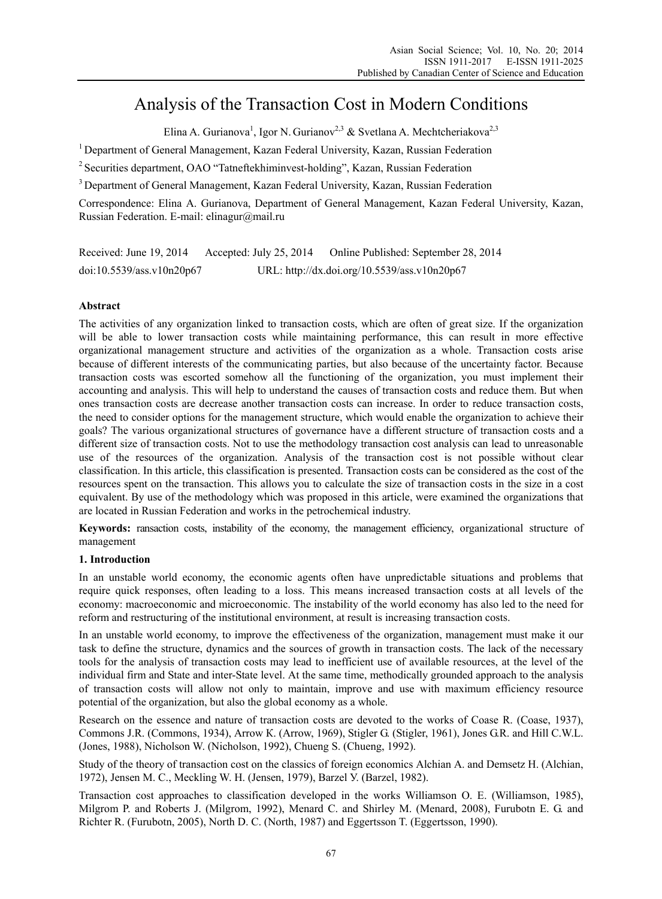# Analysis of the Transaction Cost in Modern Conditions

Elina A. Gurianova<sup>1</sup>, Igor N. Gurianov<sup>2,3</sup> & Svetlana A. Mechtcheriakova<sup>2,3</sup>

<sup>1</sup> Department of General Management, Kazan Federal University, Kazan, Russian Federation

2 Securities department, OAO "Tatneftekhiminvest-holding", Kazan, Russian Federation

<sup>3</sup> Department of General Management, Kazan Federal University, Kazan, Russian Federation

Correspondence: Elina A. Gurianova, Department of General Management, Kazan Federal University, Kazan, Russian Federation. E-mail: elinagur@mail.ru

Received: June 19, 2014 Accepted: July 25, 2014 Online Published: September 28, 2014 doi:10.5539/ass.v10n20p67 URL: http://dx.doi.org/10.5539/ass.v10n20p67

## **Abstract**

The activities of any organization linked to transaction costs, which are often of great size. If the organization will be able to lower transaction costs while maintaining performance, this can result in more effective organizational management structure and activities of the organization as a whole. Transaction costs arise because of different interests of the communicating parties, but also because of the uncertainty factor. Because transaction costs was escorted somehow all the functioning of the organization, you must implement their accounting and analysis. This will help to understand the causes of transaction costs and reduce them. But when ones transaction costs are decrease another transaction costs can increase. In order to reduce transaction costs, the need to consider options for the management structure, which would enable the organization to achieve their goals? The various organizational structures of governance have a different structure of transaction costs and a different size of transaction costs. Not to use the methodology transaction cost analysis can lead to unreasonable use of the resources of the organization. Analysis of the transaction cost is not possible without clear classification. In this article, this classification is presented. Transaction costs can be considered as the cost of the resources spent on the transaction. This allows you to calculate the size of transaction costs in the size in a cost equivalent. By use of the methodology which was proposed in this article, were examined the organizations that are located in Russian Federation and works in the petrochemical industry.

**Keywords:** ransaction costs, instability of the economy, the management efficiency, organizational structure of management

## **1. Introduction**

In an unstable world economy, the economic agents often have unpredictable situations and problems that require quick responses, often leading to a loss. This means increased transaction costs at all levels of the economy: macroeconomic and microeconomic. The instability of the world economy has also led to the need for reform and restructuring of the institutional environment, at result is increasing transaction costs.

In an unstable world economy, to improve the effectiveness of the organization, management must make it our task to define the structure, dynamics and the sources of growth in transaction costs. The lack of the necessary tools for the analysis of transaction costs may lead to inefficient use of available resources, at the level of the individual firm and State and inter-State level. At the same time, methodically grounded approach to the analysis of transaction costs will allow not only to maintain, improve and use with maximum efficiency resource potential of the organization, but also the global economy as a whole.

Research on the essence and nature of transaction costs are devoted to the works of Coase R. (Coase, 1937), Commons J.R. (Commons, 1934), Arrow К. (Arrow, 1969), Stigler G. (Stigler, 1961), Jones G.R. and Hill C.W.L. (Jones, 1988), Nicholson W. (Nicholson, 1992), Chueng S. (Chueng, 1992).

Study of the theory of transaction cost on the classics of foreign economics Alchian A. and Demsetz Н. (Alchian, 1972), Jensen M. C., Meckling W. H. (Jensen, 1979), Barzel У. (Barzel, 1982).

Transaction cost approaches to classification developed in the works Williamson O. E. (Williamson, 1985), Milgrom P. and Roberts J. (Milgrom, 1992), Menard C. and Shirley M. (Menard, 2008), Furubotn E. G. and Richter R. (Furubotn, 2005), North D. C. (North, 1987) and Eggertsson T. (Eggertsson, 1990).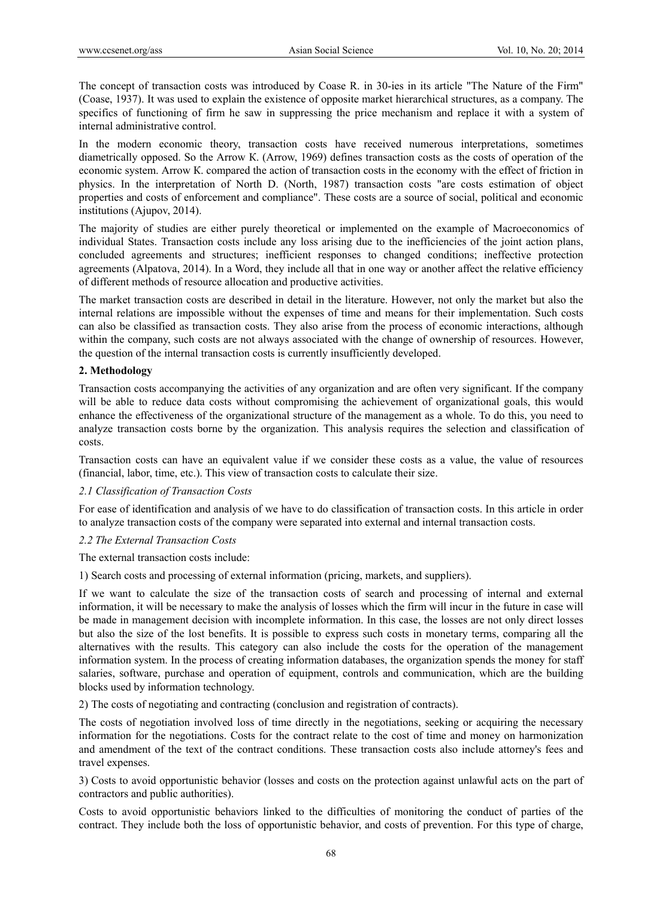The concept of transaction costs was introduced by Coase R. in 30-ies in its article "The Nature of the Firm" (Coase, 1937). It was used to explain the existence of opposite market hierarchical structures, as a company. The specifics of functioning of firm he saw in suppressing the price mechanism and replace it with a system of internal administrative control.

In the modern economic theory, transaction costs have received numerous interpretations, sometimes diametrically opposed. So the Arrow К. (Arrow, 1969) defines transaction costs as the costs of operation of the economic system. Arrow К. compared the action of transaction costs in the economy with the effect of friction in physics. In the interpretation of North D. (North, 1987) transaction costs "are costs estimation of object properties and costs of enforcement and compliance". These costs are a source of social, political and economic institutions (Ajupov, 2014).

The majority of studies are either purely theoretical or implemented on the example of Macroeconomics of individual States. Transaction costs include any loss arising due to the inefficiencies of the joint action plans, concluded agreements and structures; inefficient responses to changed conditions; ineffective protection agreements (Alpatova, 2014). In a Word, they include all that in one way or another affect the relative efficiency of different methods of resource allocation and productive activities.

The market transaction costs are described in detail in the literature. However, not only the market but also the internal relations are impossible without the expenses of time and means for their implementation. Such costs can also be classified as transaction costs. They also arise from the process of economic interactions, although within the company, such costs are not always associated with the change of ownership of resources. However, the question of the internal transaction costs is currently insufficiently developed.

### **2. Methodology**

Transaction costs accompanying the activities of any organization and are often very significant. If the company will be able to reduce data costs without compromising the achievement of organizational goals, this would enhance the effectiveness of the organizational structure of the management as a whole. To do this, you need to analyze transaction costs borne by the organization. This analysis requires the selection and classification of costs.

Transaction costs can have an equivalent value if we consider these costs as a value, the value of resources (financial, labor, time, etc.). This view of transaction costs to calculate their size.

### *2.1 Classification of Transaction Costs*

For ease of identification and analysis of we have to do classification of transaction costs. In this article in order to analyze transaction costs of the company were separated into external and internal transaction costs.

### *2.2 The External Transaction Costs*

The external transaction costs include:

1) Search costs and processing of external information (pricing, markets, and suppliers).

If we want to calculate the size of the transaction costs of search and processing of internal and external information, it will be necessary to make the analysis of losses which the firm will incur in the future in case will be made in management decision with incomplete information. In this case, the losses are not only direct losses but also the size of the lost benefits. It is possible to express such costs in monetary terms, comparing all the alternatives with the results. This category can also include the costs for the operation of the management information system. In the process of creating information databases, the organization spends the money for staff salaries, software, purchase and operation of equipment, controls and communication, which are the building blocks used by information technology.

2) The costs of negotiating and contracting (conclusion and registration of contracts).

The costs of negotiation involved loss of time directly in the negotiations, seeking or acquiring the necessary information for the negotiations. Costs for the contract relate to the cost of time and money on harmonization and amendment of the text of the contract conditions. These transaction costs also include attorney's fees and travel expenses.

3) Costs to avoid opportunistic behavior (losses and costs on the protection against unlawful acts on the part of contractors and public authorities).

Costs to avoid opportunistic behaviors linked to the difficulties of monitoring the conduct of parties of the contract. They include both the loss of opportunistic behavior, and costs of prevention. For this type of charge,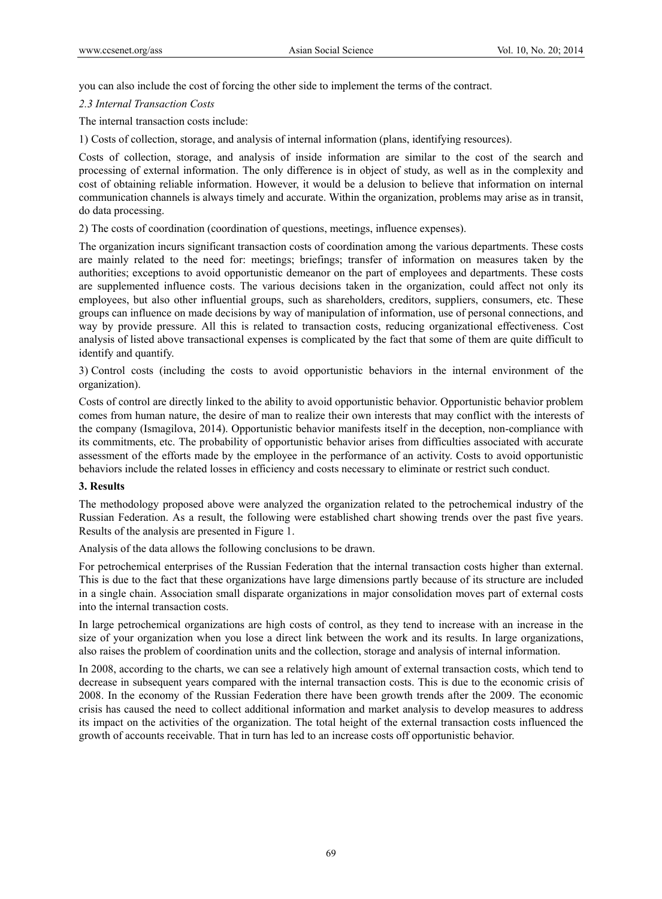you can also include the cost of forcing the other side to implement the terms of the contract.

*2.3 Internal Transaction Costs* 

The internal transaction costs include:

1) Costs of collection, storage, and analysis of internal information (plans, identifying resources).

Costs of collection, storage, and analysis of inside information are similar to the cost of the search and processing of external information. The only difference is in object of study, as well as in the complexity and cost of obtaining reliable information. However, it would be a delusion to believe that information on internal communication channels is always timely and accurate. Within the organization, problems may arise as in transit, do data processing.

2) The costs of coordination (coordination of questions, meetings, influence expenses).

The organization incurs significant transaction costs of coordination among the various departments. These costs are mainly related to the need for: meetings; briefings; transfer of information on measures taken by the authorities; exceptions to avoid opportunistic demeanor on the part of employees and departments. These costs are supplemented influence costs. The various decisions taken in the organization, could affect not only its employees, but also other influential groups, such as shareholders, creditors, suppliers, consumers, etc. These groups can influence on made decisions by way of manipulation of information, use of personal connections, and way by provide pressure. All this is related to transaction costs, reducing organizational effectiveness. Cost analysis of listed above transactional expenses is complicated by the fact that some of them are quite difficult to identify and quantify.

3) Control costs (including the costs to avoid opportunistic behaviors in the internal environment of the organization).

Costs of control are directly linked to the ability to avoid opportunistic behavior. Opportunistic behavior problem comes from human nature, the desire of man to realize their own interests that may conflict with the interests of the company (Ismagilova, 2014). Opportunistic behavior manifests itself in the deception, non-compliance with its commitments, etc. The probability of opportunistic behavior arises from difficulties associated with accurate assessment of the efforts made by the employee in the performance of an activity. Costs to avoid opportunistic behaviors include the related losses in efficiency and costs necessary to eliminate or restrict such conduct.

### **3. Results**

The methodology proposed above were analyzed the organization related to the petrochemical industry of the Russian Federation. As a result, the following were established chart showing trends over the past five years. Results of the analysis are presented in Figure 1.

Analysis of the data allows the following conclusions to be drawn.

For petrochemical enterprises of the Russian Federation that the internal transaction costs higher than external. This is due to the fact that these organizations have large dimensions partly because of its structure are included in a single chain. Association small disparate organizations in major consolidation moves part of external costs into the internal transaction costs.

In large petrochemical organizations are high costs of control, as they tend to increase with an increase in the size of your organization when you lose a direct link between the work and its results. In large organizations, also raises the problem of coordination units and the collection, storage and analysis of internal information.

In 2008, according to the charts, we can see a relatively high amount of external transaction costs, which tend to decrease in subsequent years compared with the internal transaction costs. This is due to the economic crisis of 2008. In the economy of the Russian Federation there have been growth trends after the 2009. The economic crisis has caused the need to collect additional information and market analysis to develop measures to address its impact on the activities of the organization. The total height of the external transaction costs influenced the growth of accounts receivable. That in turn has led to an increase costs off opportunistic behavior.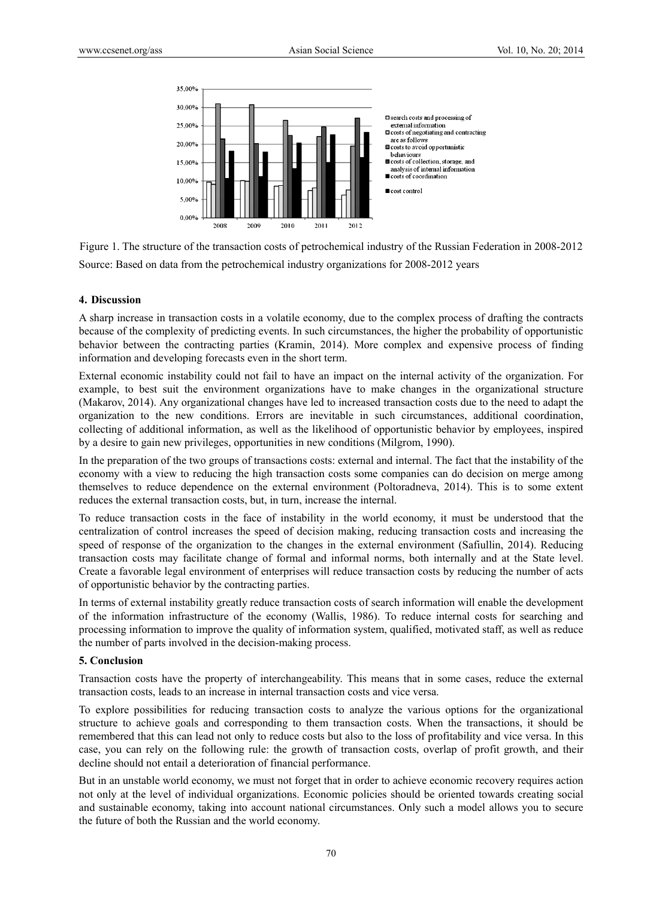

Figure 1. The structure of the transaction costs of petrochemical industry of the Russian Federation in 2008-2012 Source: Based on data from the petrochemical industry organizations for 2008-2012 years

### **4. Discussion**

A sharp increase in transaction costs in a volatile economy, due to the complex process of drafting the contracts because of the complexity of predicting events. In such circumstances, the higher the probability of opportunistic behavior between the contracting parties (Kramin, 2014). More complex and expensive process of finding information and developing forecasts even in the short term.

External economic instability could not fail to have an impact on the internal activity of the organization. For example, to best suit the environment organizations have to make changes in the organizational structure (Makarov, 2014). Any organizational changes have led to increased transaction costs due to the need to adapt the organization to the new conditions. Errors are inevitable in such circumstances, additional coordination, collecting of additional information, as well as the likelihood of opportunistic behavior by employees, inspired by a desire to gain new privileges, opportunities in new conditions (Milgrom, 1990).

In the preparation of the two groups of transactions costs: external and internal. The fact that the instability of the economy with a view to reducing the high transaction costs some companies can do decision on merge among themselves to reduce dependence on the external environment (Poltoradneva, 2014). This is to some extent reduces the external transaction costs, but, in turn, increase the internal.

To reduce transaction costs in the face of instability in the world economy, it must be understood that the centralization of control increases the speed of decision making, reducing transaction costs and increasing the speed of response of the organization to the changes in the external environment (Safiullin, 2014). Reducing transaction costs may facilitate change of formal and informal norms, both internally and at the State level. Create a favorable legal environment of enterprises will reduce transaction costs by reducing the number of acts of opportunistic behavior by the contracting parties.

In terms of external instability greatly reduce transaction costs of search information will enable the development of the information infrastructure of the economy (Wallis, 1986). To reduce internal costs for searching and processing information to improve the quality of information system, qualified, motivated staff, as well as reduce the number of parts involved in the decision-making process.

#### **5. Conclusion**

Transaction costs have the property of interchangeability. This means that in some cases, reduce the external transaction costs, leads to an increase in internal transaction costs and vice versa.

To explore possibilities for reducing transaction costs to analyze the various options for the organizational structure to achieve goals and corresponding to them transaction costs. When the transactions, it should be remembered that this can lead not only to reduce costs but also to the loss of profitability and vice versa. In this case, you can rely on the following rule: the growth of transaction costs, overlap of profit growth, and their decline should not entail a deterioration of financial performance.

But in an unstable world economy, we must not forget that in order to achieve economic recovery requires action not only at the level of individual organizations. Economic policies should be oriented towards creating social and sustainable economy, taking into account national circumstances. Only such a model allows you to secure the future of both the Russian and the world economy.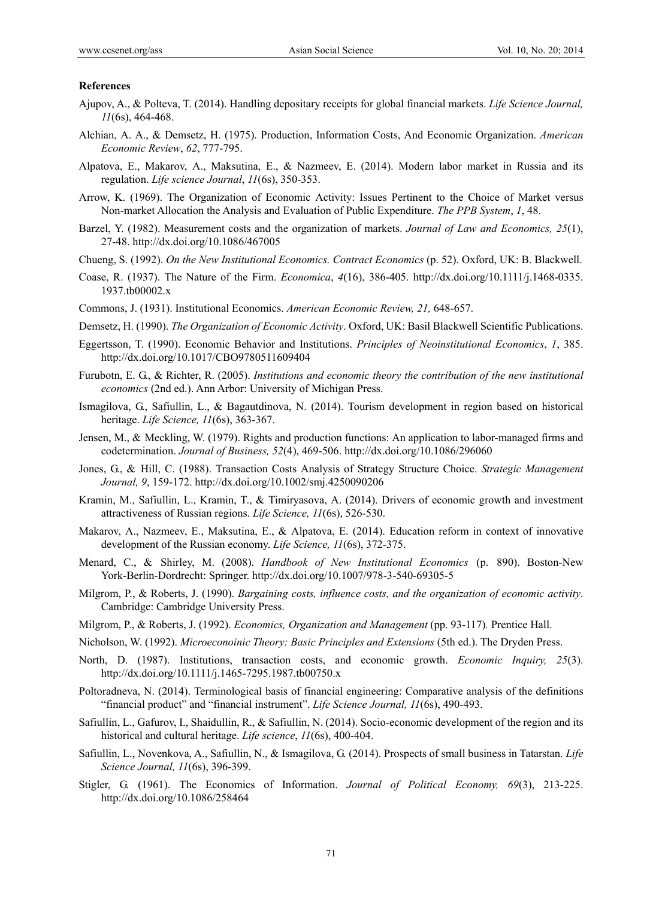#### **References**

- Ajupov, A., & Polteva, T. (2014). Handling depositary receipts for global financial markets. *Life Science Journal, 11*(6s), 464-468.
- Alchian, A. A., & Demsetz, H. (1975). Production, Information Costs, And Economic Organization. *American Economic Review*, *62*, 777-795.
- Alpatova, E., Makarov, A., Maksutina, E., & Nazmeev, E. (2014). Modern labor market in Russia and its regulation. *Life science Journal*, *11*(6s), 350-353.
- Arrow, K. (1969). The Organization of Economic Activity: Issues Pertinent to the Choice of Market versus Non-market Allocation the Analysis and Evaluation of Public Expenditure. *The PPB System*, *1*, 48.
- Barzel, Y. (1982). Measurement costs and the organization of markets. *Journal of Law and Economics, 25*(1), 27-48. http://dx.doi.org/10.1086/467005
- Chueng, S. (1992). *On the New Institutional Economics. Contract Economics* (p. 52). Oxford, UK: B. Blackwell.
- Coase, R. (1937). The Nature of the Firm. *Economica*, *4*(16), 386-405. http://dx.doi.org/10.1111/j.1468-0335. 1937.tb00002.x
- Commons, J. (1931). Institutional Economics. *American Economic Review, 21,* 648-657.
- Demsetz, H. (1990). *The Organization of Economic Activity*. Oxford, UK: Basil Blackwell Scientific Publications.
- Eggertsson, T. (1990). Economic Behavior and Institutions. *Principles of Neoinstitutional Economics*, *1*, 385. http://dx.doi.org/10.1017/CBO9780511609404
- Furubotn, E. G., & Richter, R. (2005). *Institutions and economic theory the contribution of the new institutional economics* (2nd ed.). Ann Arbor: University of Michigan Press.
- Ismagilova, G., Safiullin, L., & Bagautdinova, N. (2014). Tourism development in region based on historical heritage. *Life Science, 11*(6s), 363-367.
- Jensen, M., & Meckling, W. (1979). Rights and production functions: An application to labor-managed firms and codetermination. *Journal of Business, 52*(4), 469-506. http://dx.doi.org/10.1086/296060
- Jones, G., & Hill, C. (1988). Transaction Costs Analysis of Strategy Structure Choice. *Strategic Management Journal, 9*, 159-172. http://dx.doi.org/10.1002/smj.4250090206
- Kramin, M., Safiullin, L., Kramin, T., & Timiryasova, A. (2014). Drivers of economic growth and investment attractiveness of Russian regions. *Life Science, 11*(6s), 526-530.
- Makarov, A., Nazmeev, E., Maksutina, E., & Alpatova, E. (2014). Education reform in context of innovative development of the Russian economy. *Life Science, 11*(6s), 372-375.
- Menard, C., & Shirley, M. (2008). *Handbook of New Institutional Economics* (p. 890). Boston-New York-Berlin-Dordrecht: Springer. http://dx.doi.org/10.1007/978-3-540-69305-5
- Milgrom, P., & Roberts, J. (1990). *Bargaining costs, influence costs, and the organization of economic activity*. Cambridge: Cambridge University Press.
- Milgrom, P., & Roberts, J. (1992). *Economics, Organization and Management* (pp. 93-117)*.* Prentice Hall.
- Nicholson, W. (1992). *Microeconoinic Theory: Basic Principles and Extensions* (5th ed.). The Dryden Press.
- North, D. (1987). Institutions, transaction costs, and economic growth. *Economic Inquiry, 25*(3). http://dx.doi.org/10.1111/j.1465-7295.1987.tb00750.x
- Poltoradneva, N. (2014). Terminological basis of financial engineering: Comparative analysis of the definitions "financial product" and "financial instrument". *Life Science Journal, 11*(6s), 490-493.
- Safiullin, L., Gafurov, I., Shaidullin, R., & Safiullin, N. (2014). Socio-economic development of the region and its historical and cultural heritage. *Life science*, *11*(6s), 400-404.
- Safiullin, L., Novenkova, A., Safiullin, N., & Ismagilova, G. (2014). Prospects of small business in Tatarstan. *Life Science Journal, 11*(6s), 396-399.
- Stigler, G. (1961). The Economics of Information. *Journal of Political Economy, 69*(3), 213-225. http://dx.doi.org/10.1086/258464